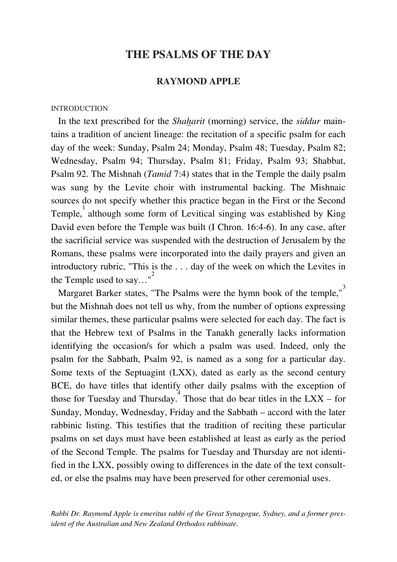# **THE PSALMS OF THE DAY**

## **RAYMOND APPLE**

### **INTRODUCTION**

 In the text prescribed for the *Shaharit* (morning) service, the *siddur* maintains a tradition of ancient lineage: the recitation of a specific psalm for each day of the week: Sunday, Psalm 24; Monday, Psalm 48; Tuesday, Psalm 82; Wednesday, Psalm 94; Thursday, Psalm 81; Friday, Psalm 93; Shabbat, Psalm 92. The Mishnah (*Tamid* 7:4) states that in the Temple the daily psalm was sung by the Levite choir with instrumental backing. The Mishnaic sources do not specify whether this practice began in the First or the Second Temple, 1 although some form of Levitical singing was established by King David even before the Temple was built (I Chron. 16:4-6). In any case, after the sacrificial service was suspended with the destruction of Jerusalem by the Romans, these psalms were incorporated into the daily prayers and given an introductory rubric, "This is the . . . day of the week on which the Levites in the Temple used to say..."<sup>2</sup>

Margaret Barker states, "The Psalms were the hymn book of the temple," but the Mishnah does not tell us why, from the number of options expressing similar themes, these particular psalms were selected for each day. The fact is that the Hebrew text of Psalms in the Tanakh generally lacks information identifying the occasion/s for which a psalm was used. Indeed, only the psalm for the Sabbath, Psalm 92, is named as a song for a particular day. Some texts of the Septuagint (LXX), dated as early as the second century BCE, do have titles that identify other daily psalms with the exception of those for Tuesday and Thursday. Those that do bear titles in the  $LXX - for$ Sunday, Monday, Wednesday, Friday and the Sabbath – accord with the later rabbinic listing. This testifies that the tradition of reciting these particular psalms on set days must have been established at least as early as the period of the Second Temple. The psalms for Tuesday and Thursday are not identified in the LXX, possibly owing to differences in the date of the text consulted, or else the psalms may have been preserved for other ceremonial uses.

R*abbi Dr. Raymond Apple is emeritus rabbi of the Great Synagogue, Sydney, and a former president of the Australian and New Zealand Orthodox rabbinate*.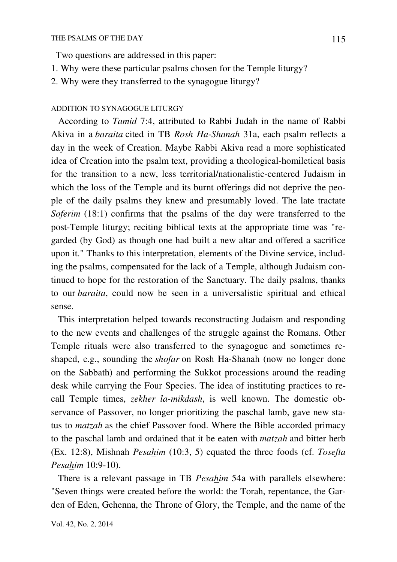Two questions are addressed in this paper:

- 1. Why were these particular psalms chosen for the Temple liturgy?
- 2. Why were they transferred to the synagogue liturgy?

### ADDITION TO SYNAGOGUE LITURGY

 According to *Tamid* 7:4, attributed to Rabbi Judah in the name of Rabbi Akiva in a *baraita* cited in TB *Rosh Ha-Shanah* 31a, each psalm reflects a day in the week of Creation. Maybe Rabbi Akiva read a more sophisticated idea of Creation into the psalm text, providing a theological-homiletical basis for the transition to a new, less territorial/nationalistic-centered Judaism in which the loss of the Temple and its burnt offerings did not deprive the people of the daily psalms they knew and presumably loved. The late tractate *Soferim* (18:1) confirms that the psalms of the day were transferred to the post-Temple liturgy; reciting biblical texts at the appropriate time was "regarded (by God) as though one had built a new altar and offered a sacrifice upon it." Thanks to this interpretation, elements of the Divine service, including the psalms, compensated for the lack of a Temple, although Judaism continued to hope for the restoration of the Sanctuary. The daily psalms, thanks to our *baraita*, could now be seen in a universalistic spiritual and ethical sense.

 This interpretation helped towards reconstructing Judaism and responding to the new events and challenges of the struggle against the Romans. Other Temple rituals were also transferred to the synagogue and sometimes reshaped, e.g., sounding the *shofar* on Rosh Ha-Shanah (now no longer done on the Sabbath) and performing the Sukkot processions around the reading desk while carrying the Four Species. The idea of instituting practices to recall Temple times, *zekher la-mikdash*, is well known. The domestic observance of Passover, no longer prioritizing the paschal lamb, gave new status to *matzah* as the chief Passover food. Where the Bible accorded primacy to the paschal lamb and ordained that it be eaten with *matzah* and bitter herb (Ex. 12:8), Mishnah *Pesahim* (10:3, 5) equated the three foods (cf. *Tosefta Pesahim* 10:9-10).

 There is a relevant passage in TB *Pesahim* 54a with parallels elsewhere: "Seven things were created before the world: the Torah, repentance, the Garden of Eden, Gehenna, the Throne of Glory, the Temple, and the name of the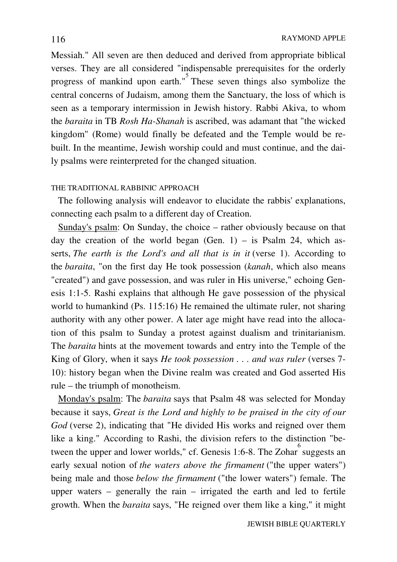Messiah." All seven are then deduced and derived from appropriate biblical verses. They are all considered "indispensable prerequisites for the orderly progress of mankind upon earth."<sup>5</sup> These seven things also symbolize the central concerns of Judaism, among them the Sanctuary, the loss of which is seen as a temporary intermission in Jewish history. Rabbi Akiva, to whom the *baraita* in TB *Rosh Ha-Shanah* is ascribed, was adamant that "the wicked kingdom" (Rome) would finally be defeated and the Temple would be rebuilt. In the meantime, Jewish worship could and must continue, and the daily psalms were reinterpreted for the changed situation.

## THE TRADITIONAL RABBINIC APPROACH

 The following analysis will endeavor to elucidate the rabbis' explanations, connecting each psalm to a different day of Creation.

 Sunday's psalm: On Sunday, the choice – rather obviously because on that day the creation of the world began (Gen.  $1$ ) – is Psalm 24, which asserts, *The earth is the Lord's and all that is in it* (verse 1). According to the *baraita*, "on the first day He took possession (*kanah*, which also means "created") and gave possession, and was ruler in His universe," echoing Genesis 1:1-5. Rashi explains that although He gave possession of the physical world to humankind (Ps. 115:16) He remained the ultimate ruler, not sharing authority with any other power. A later age might have read into the allocation of this psalm to Sunday a protest against dualism and trinitarianism. The *baraita* hints at the movement towards and entry into the Temple of the King of Glory, when it says *He took possession . . . and was ruler* (verses 7- 10): history began when the Divine realm was created and God asserted His rule – the triumph of monotheism.

 Monday's psalm: The *baraita* says that Psalm 48 was selected for Monday because it says, *Great is the Lord and highly to be praised in the city of our God* (verse 2), indicating that "He divided His works and reigned over them like a king." According to Rashi, the division refers to the distinction "between the upper and lower worlds," cf. Genesis 1:6-8. The Zohar  $\degree$  suggests an early sexual notion of *the waters above the firmament* ("the upper waters") being male and those *below the firmament* ("the lower waters") female. The upper waters – generally the rain – irrigated the earth and led to fertile growth. When the *baraita* says, "He reigned over them like a king," it might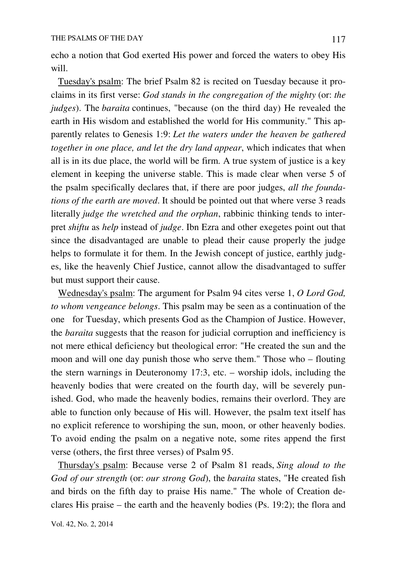echo a notion that God exerted His power and forced the waters to obey His will.

 Tuesday's psalm: The brief Psalm 82 is recited on Tuesday because it proclaims in its first verse: *God stands in the congregation of the mighty* (or: *the judges*). The *baraita* continues, "because (on the third day) He revealed the earth in His wisdom and established the world for His community." This apparently relates to Genesis 1:9: *Let the waters under the heaven be gathered together in one place, and let the dry land appear*, which indicates that when all is in its due place, the world will be firm. A true system of justice is a key element in keeping the universe stable. This is made clear when verse 5 of the psalm specifically declares that, if there are poor judges, *all the foundations of the earth are moved*. It should be pointed out that where verse 3 reads literally *judge the wretched and the orphan*, rabbinic thinking tends to interpret *shiftu* as *help* instead of *judge*. Ibn Ezra and other exegetes point out that since the disadvantaged are unable to plead their cause properly the judge helps to formulate it for them. In the Jewish concept of justice, earthly judges, like the heavenly Chief Justice, cannot allow the disadvantaged to suffer but must support their cause.

 Wednesday's psalm: The argument for Psalm 94 cites verse 1, *O Lord God, to whom vengeance belongs*. This psalm may be seen as a continuation of the one for Tuesday, which presents God as the Champion of Justice. However, the *baraita* suggests that the reason for judicial corruption and inefficiency is not mere ethical deficiency but theological error: "He created the sun and the moon and will one day punish those who serve them." Those who – flouting the stern warnings in Deuteronomy 17:3, etc. – worship idols, including the heavenly bodies that were created on the fourth day, will be severely punished. God, who made the heavenly bodies, remains their overlord. They are able to function only because of His will. However, the psalm text itself has no explicit reference to worshiping the sun, moon, or other heavenly bodies. To avoid ending the psalm on a negative note, some rites append the first verse (others, the first three verses) of Psalm 95.

 Thursday's psalm: Because verse 2 of Psalm 81 reads, *Sing aloud to the God of our strength* (or: *our strong God*), the *baraita* states, "He created fish and birds on the fifth day to praise His name." The whole of Creation declares His praise – the earth and the heavenly bodies (Ps. 19:2); the flora and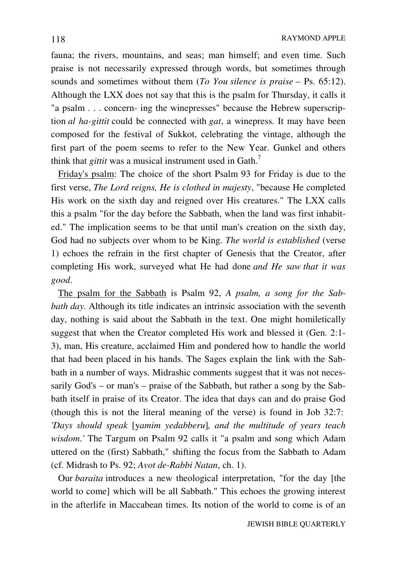fauna; the rivers, mountains, and seas; man himself; and even time. Such praise is not necessarily expressed through words, but sometimes through sounds and sometimes without them (*To You silence is praise* – Ps. 65:12). Although the LXX does not say that this is the psalm for Thursday, it calls it "a psalm . . . concern- ing the winepresses" because the Hebrew superscription *al ha-gittit* could be connected with *gat*, a winepress. It may have been composed for the festival of Sukkot, celebrating the vintage, although the first part of the poem seems to refer to the New Year. Gunkel and others think that *gittit* was a musical instrument used in Gath.<sup>7</sup>

 Friday's psalm: The choice of the short Psalm 93 for Friday is due to the first verse, *The Lord reigns, He is clothed in majesty*, "because He completed His work on the sixth day and reigned over His creatures." The LXX calls this a psalm "for the day before the Sabbath, when the land was first inhabited." The implication seems to be that until man's creation on the sixth day, God had no subjects over whom to be King. *The world is established* (verse 1) echoes the refrain in the first chapter of Genesis that the Creator, after completing His work, surveyed what He had done *and He saw that it was good*.

 The psalm for the Sabbath is Psalm 92, *A psalm, a song for the Sabbath day.* Although its title indicates an intrinsic association with the seventh day, nothing is said about the Sabbath in the text. One might homiletically suggest that when the Creator completed His work and blessed it (Gen. 2:1- 3), man, His creature, acclaimed Him and pondered how to handle the world that had been placed in his hands. The Sages explain the link with the Sabbath in a number of ways. Midrashic comments suggest that it was not necessarily God's – or man's – praise of the Sabbath, but rather a song by the Sabbath itself in praise of its Creator. The idea that days can and do praise God (though this is not the literal meaning of the verse) is found in Job 32:7: *'Days should speak* [y*amim yedabberu*]*, and the multitude of years teach wisdom*.*'* The Targum on Psalm 92 calls it "a psalm and song which Adam uttered on the (first) Sabbath," shifting the focus from the Sabbath to Adam (cf. Midrash to Ps. 92; *Avot de-Rabbi Natan*, ch. 1).

 Our *baraita* introduces a new theological interpretation, "for the day [the world to come] which will be all Sabbath." This echoes the growing interest in the afterlife in Maccabean times. Its notion of the world to come is of an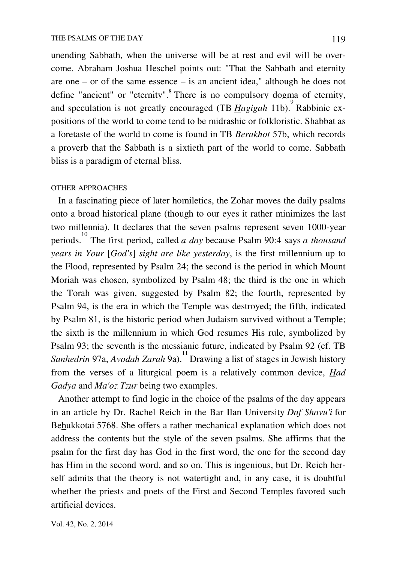unending Sabbath, when the universe will be at rest and evil will be overcome. Abraham Joshua Heschel points out: "That the Sabbath and eternity are one – or of the same essence – is an ancient idea," although he does not define "ancient" or "eternity".<sup>8</sup> There is no compulsory dogma of eternity, and speculation is not greatly encouraged (TB *Hagigah* 11b). 9 Rabbinic expositions of the world to come tend to be midrashic or folkloristic. Shabbat as a foretaste of the world to come is found in TB *Berakhot* 57b, which records a proverb that the Sabbath is a sixtieth part of the world to come. Sabbath bliss is a paradigm of eternal bliss.

### OTHER APPROACHES

 In a fascinating piece of later homiletics, the Zohar moves the daily psalms onto a broad historical plane (though to our eyes it rather minimizes the last two millennia). It declares that the seven psalms represent seven 1000-year periods. 10 The first period, called *a day* because Psalm 90:4 says *a thousand years in Your* [*God's*] *sight are like yesterday*, is the first millennium up to the Flood, represented by Psalm 24; the second is the period in which Mount Moriah was chosen, symbolized by Psalm 48; the third is the one in which the Torah was given, suggested by Psalm 82; the fourth, represented by Psalm 94, is the era in which the Temple was destroyed; the fifth, indicated by Psalm 81, is the historic period when Judaism survived without a Temple; the sixth is the millennium in which God resumes His rule, symbolized by Psalm 93; the seventh is the messianic future, indicated by Psalm 92 (cf. TB *Sanhedrin* 97a, *Avodah Zarah* 9a). 11 Drawing a list of stages in Jewish history from the verses of a liturgical poem is a relatively common device, *Had Gadya* and *Ma'oz Tzur* being two examples.

 Another attempt to find logic in the choice of the psalms of the day appears in an article by Dr. Rachel Reich in the Bar Ilan University *Daf Shavu'i* for Behukkotai 5768. She offers a rather mechanical explanation which does not address the contents but the style of the seven psalms. She affirms that the psalm for the first day has God in the first word, the one for the second day has Him in the second word, and so on. This is ingenious, but Dr. Reich herself admits that the theory is not watertight and, in any case, it is doubtful whether the priests and poets of the First and Second Temples favored such artificial devices.